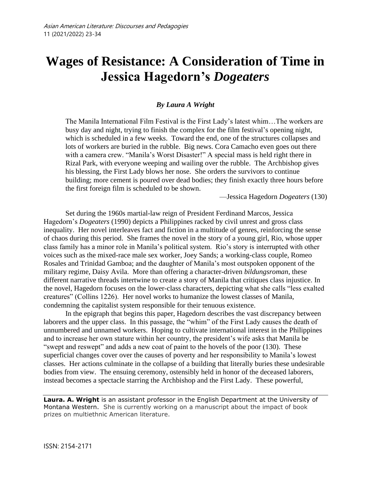# **Wages of Resistance: A Consideration of Time in Jessica Hagedorn's** *Dogeaters*

#### *By Laura A Wright*

The Manila International Film Festival is the First Lady's latest whim…The workers are busy day and night, trying to finish the complex for the film festival's opening night, which is scheduled in a few weeks. Toward the end, one of the structures collapses and lots of workers are buried in the rubble. Big news. Cora Camacho even goes out there with a camera crew. "Manila's Worst Disaster!" A special mass is held right there in Rizal Park, with everyone weeping and wailing over the rubble. The Archbishop gives his blessing, the First Lady blows her nose. She orders the survivors to continue building; more cement is poured over dead bodies; they finish exactly three hours before the first foreign film is scheduled to be shown.

—Jessica Hagedorn *Dogeaters* (130)

Set during the 1960s martial-law reign of President Ferdinand Marcos, Jessica Hagedorn's *Dogeaters* (1990) depicts a Philippines racked by civil unrest and gross class inequality. Her novel interleaves fact and fiction in a multitude of genres, reinforcing the sense of chaos during this period. She frames the novel in the story of a young girl, Rio, whose upper class family has a minor role in Manila's political system. Rio's story is interrupted with other voices such as the mixed-race male sex worker, Joey Sands; a working-class couple, Romeo Rosales and Trinidad Gamboa; and the daughter of Manila's most outspoken opponent of the military regime, Daisy Avila. More than offering a character-driven *bildungsroman*, these different narrative threads intertwine to create a story of Manila that critiques class injustice. In the novel, Hagedorn focuses on the lower-class characters, depicting what she calls "less exalted creatures" (Collins 1226). Her novel works to humanize the lowest classes of Manila, condemning the capitalist system responsible for their tenuous existence.

In the epigraph that begins this paper, Hagedorn describes the vast discrepancy between laborers and the upper class. In this passage, the "whim" of the First Lady causes the death of unnumbered and unnamed workers. Hoping to cultivate international interest in the Philippines and to increase her own stature within her country, the president's wife asks that Manila be "swept and reswept" and adds a new coat of paint to the hovels of the poor (130). These superficial changes cover over the causes of poverty and her responsibility to Manila's lowest classes. Her actions culminate in the collapse of a building that literally buries these undesirable bodies from view. The ensuing ceremony, ostensibly held in honor of the deceased laborers, instead becomes a spectacle starring the Archbishop and the First Lady. These powerful,

**Laura. A. Wright** is an assistant professor in the English Department at the University of Montana Western. She is currently working on a manuscript about the impact of book prizes on multiethnic American literature.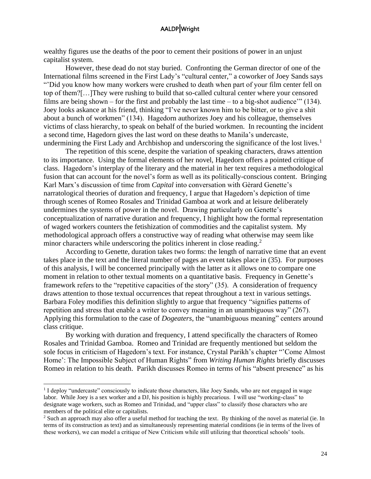wealthy figures use the deaths of the poor to cement their positions of power in an unjust capitalist system.

However, these dead do not stay buried. Confronting the German director of one of the International films screened in the First Lady's "cultural center," a coworker of Joey Sands says "'Did you know how many workers were crushed to death when part of your film center fell on top of them?[…]They were rushing to build that so-called cultural center where your censored films are being shown – for the first and probably the last time – to a big-shot audience'" (134). Joey looks askance at his friend, thinking "I've never known him to be bitter, or to give a shit about a bunch of workmen" (134). Hagedorn authorizes Joey and his colleague, themselves victims of class hierarchy, to speak on behalf of the buried workmen. In recounting the incident a second time, Hagedorn gives the last word on these deaths to Manila's undercaste, undermining the First Lady and Archbishop and underscoring the significance of the lost lives.<sup>1</sup>

The repetition of this scene, despite the variation of speaking characters, draws attention to its importance. Using the formal elements of her novel, Hagedorn offers a pointed critique of class. Hagedorn's interplay of the literary and the material in her text requires a methodological fusion that can account for the novel's form as well as its politically-conscious content. Bringing Karl Marx's discussion of time from *Capital* into conversation with Gèrard Genette's narratological theories of duration and frequency, I argue that Hagedorn's depiction of time through scenes of Romeo Rosales and Trinidad Gamboa at work and at leisure deliberately undermines the systems of power in the novel. Drawing particularly on Genette's conceptualization of narrative duration and frequency, I highlight how the formal representation of waged workers counters the fetishization of commodities and the capitalist system. My methodological approach offers a constructive way of reading what otherwise may seem like minor characters while underscoring the politics inherent in close reading.<sup>2</sup>

According to Genette, duration takes two forms: the length of narrative time that an event takes place in the text and the literal number of pages an event takes place in (35). For purposes of this analysis, I will be concerned principally with the latter as it allows one to compare one moment in relation to other textual moments on a quantitative basis. Frequency in Genette's framework refers to the "repetitive capacities of the story" (35). A consideration of frequency draws attention to those textual occurrences that repeat throughout a text in various settings. Barbara Foley modifies this definition slightly to argue that frequency "signifies patterns of repetition and stress that enable a writer to convey meaning in an unambiguous way" (267). Applying this formulation to the case of *Dogeaters*, the "unambiguous meaning" centers around class critique.

By working with duration and frequency, I attend specifically the characters of Romeo Rosales and Trinidad Gamboa. Romeo and Trinidad are frequently mentioned but seldom the sole focus in criticism of Hagedorn's text. For instance, Crystal Parikh's chapter "'Come Almost Home': The Impossible Subject of Human Rights" from *Writing Human Rights* briefly discusses Romeo in relation to his death. Parikh discusses Romeo in terms of his "absent presence" as his

<sup>&</sup>lt;sup>1</sup> I deploy "undercaste" consciously to indicate those characters, like Joey Sands, who are not engaged in wage labor. While Joey is a sex worker and a DJ, his position is highly precarious. I will use "working-class" to designate wage workers, such as Romeo and Trinidad, and "upper class" to classify those characters who are members of the political elite or capitalists.

<sup>&</sup>lt;sup>2</sup> Such an approach may also offer a useful method for teaching the text. By thinking of the novel as material (ie. In terms of its construction as text) and as simultaneously representing material conditions (ie in terms of the lives of these workers), we can model a critique of New Criticism while still utilizing that theoretical schools' tools.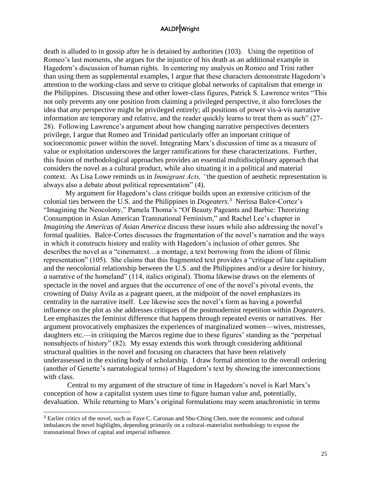death is alluded to in gossip after he is detained by authorities (103). Using the repetition of Romeo's last moments, she argues for the injustice of his death as an additional example in Hagedorn's discussion of human rights. In centering my analysis on Romeo and Trini rather than using them as supplemental examples, I argue that these characters demonstrate Hagedorn's attention to the working-class and serve to critique global networks of capitalism that emerge in the Philippines. Discussing these and other lower-class figures, Patrick S. Lawrence writes "This not only prevents any one position from claiming a privileged perspective, it also forecloses the idea that *any* perspective might be privileged entirely; all positions of power vis-à-vis narrative information are temporary and relative, and the reader quickly learns to treat them as such" (27- 28). Following Lawrence's argument about how changing narrative perspectives decenters privilege, I argue that Romeo and Trinidad particularly offer an important critique of socioeconomic power within the novel. Integrating Marx's discussion of time as a measure of value or exploitation underscores the larger ramifications for these characterizations. Further, this fusion of methodological approaches provides an essential multidisciplinary approach that considers the novel as a cultural product, while also situating it in a political and material context. As Lisa Lowe reminds us in *Immigrant Acts, "*the question of aesthetic representation is always also a debate about political representation" (4).

My argument for Hagedorn's class critique builds upon an extensive criticism of the colonial ties between the U.S. and the Philippines in *Dogeaters*. 3 Nerissa Balce-Cortez's "Imagining the Neocolony," Pamela Thoma's "Of Beauty Pageants and Barbie: Theorizing Consumption in Asian American Transnational Feminism," and Rachel Lee's chapter in *Imagining the Americas of Asian America* discuss these issues while also addressing the novel's formal qualities. Balce-Cortes discusses the fragmentation of the novel's narration and the ways in which it constructs history and reality with Hagedorn's inclusion of other genres. She describes the novel as a "cinematext…a montage, a text borrowing from the idiom of filmic representation" (105). She claims that this fragmented text provides a "critique of late capitalism and the neocolonial relationship between the U.S. and the Philippines and/or a desire for history, *a* narrative of the homeland" (114, italics original). Thoma likewise draws on the elements of spectacle in the novel and argues that the occurrence of one of the novel's pivotal events, the crowning of Daisy Avila as a pageant queen, at the midpoint of the novel emphasizes its centrality in the narrative itself. Lee likewise sees the novel's form as having a powerful influence on the plot as she addresses critiques of the postmodernist repetition within *Dogeaters*. Lee emphasizes the feminist difference that happens through repeated events or narratives. Her argument provocatively emphasizes the experiences of marginalized women—wives, mistresses, daughters etc.—in critiquing the Marcos regime due to these figures' standing as the "perpetual nonsubjects of history" (82). My essay extends this work through considering additional structural qualities in the novel and focusing on characters that have been relatively underassessed in the existing body of scholarship. I draw formal attention to the overall ordering (another of Genette's narratological terms) of Hagedorn's text by showing the interconnections with class.

Central to my argument of the structure of time in Hagedorn's novel is Karl Marx's conception of how a capitalist system uses time to figure human value and, potentially, devaluation. While returning to Marx's original formulations may seem anachronistic in terms

<sup>3</sup> Earlier critics of the novel, such as Faye C. Caronan and Shu-Ching Chen, note the economic and cultural imbalances the novel highlights, depending primarily on a cultural-materialist methodology to expose the transnational flows of capital and imperial influence.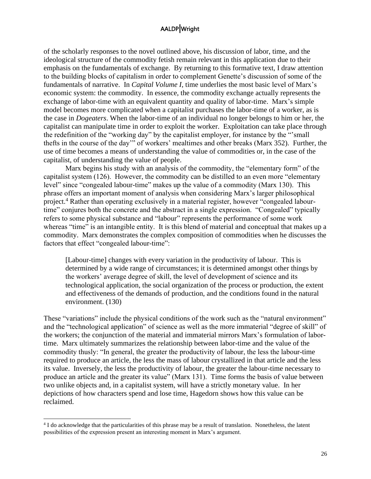of the scholarly responses to the novel outlined above, his discussion of labor, time, and the ideological structure of the commodity fetish remain relevant in this application due to their emphasis on the fundamentals of exchange. By returning to this formative text, I draw attention to the building blocks of capitalism in order to complement Genette's discussion of some of the fundamentals of narrative. In *Capital Volume I*, time underlies the most basic level of Marx's economic system: the commodity. In essence, the commodity exchange actually represents the exchange of labor-time with an equivalent quantity and quality of labor-time. Marx's simple model becomes more complicated when a capitalist purchases the labor-time of a worker, as is the case in *Dogeaters*. When the labor-time of an individual no longer belongs to him or her, the capitalist can manipulate time in order to exploit the worker. Exploitation can take place through the redefinition of the "working day" by the capitalist employer, for instance by the "'small thefts in the course of the day'" of workers' mealtimes and other breaks (Marx 352). Further, the use of time becomes a means of understanding the value of commodities or, in the case of the capitalist, of understanding the value of people.

Marx begins his study with an analysis of the commodity, the "elementary form" of the capitalist system (126). However, the commodity can be distilled to an even more "elementary level" since "congealed labour-time" makes up the value of a commodity (Marx 130). This phrase offers an important moment of analysis when considering Marx's larger philosophical project.<sup>4</sup> Rather than operating exclusively in a material register, however "congealed labourtime" conjures both the concrete and the abstract in a single expression. "Congealed" typically refers to some physical substance and "labour" represents the performance of some work whereas "time" is an intangible entity. It is this blend of material and conceptual that makes up a commodity. Marx demonstrates the complex composition of commodities when he discusses the factors that effect "congealed labour-time":

[Labour-time] changes with every variation in the productivity of labour. This is determined by a wide range of circumstances; it is determined amongst other things by the workers' average degree of skill, the level of development of science and its technological application, the social organization of the process or production, the extent and effectiveness of the demands of production, and the conditions found in the natural environment. (130)

These "variations" include the physical conditions of the work such as the "natural environment" and the "technological application" of science as well as the more immaterial "degree of skill" of the workers; the conjunction of the material and immaterial mirrors Marx's formulation of labortime. Marx ultimately summarizes the relationship between labor-time and the value of the commodity thusly: "In general, the greater the productivity of labour, the less the labour-time required to produce an article, the less the mass of labour crystallized in that article and the less its value. Inversely, the less the productivity of labour, the greater the labour-time necessary to produce an article and the greater its value" (Marx 131). Time forms the basis of value between two unlike objects and, in a capitalist system, will have a strictly monetary value. In her depictions of how characters spend and lose time, Hagedorn shows how this value can be reclaimed.

<sup>&</sup>lt;sup>4</sup> I do acknowledge that the particularities of this phrase may be a result of translation. Nonetheless, the latent possibilities of the expression present an interesting moment in Marx's argument.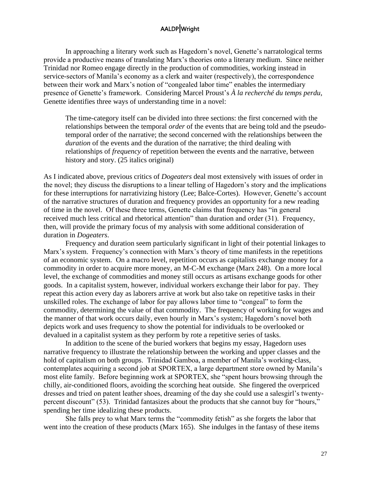In approaching a literary work such as Hagedorn's novel, Genette's narratological terms provide a productive means of translating Marx's theories onto a literary medium. Since neither Trinidad nor Romeo engage directly in the production of commodities, working instead in service-sectors of Manila's economy as a clerk and waiter (respectively), the correspondence between their work and Marx's notion of "congealed labor time" enables the intermediary presence of Genette's framework. Considering Marcel Proust's *À la recherché du temps perdu*, Genette identifies three ways of understanding time in a novel:

The time-category itself can be divided into three sections: the first concerned with the relationships between the temporal *order* of the events that are being told and the pseudotemporal order of the narrative; the second concerned with the relationships between the *duration* of the events and the duration of the narrative; the third dealing with relationships of *frequency* of repetition between the events and the narrative, between history and story. (25 italics original)

As I indicated above, previous critics of *Dogeaters* deal most extensively with issues of order in the novel; they discuss the disruptions to a linear telling of Hagedorn's story and the implications for these interruptions for narrativizing history (Lee; Balce-Cortes). However, Genette's account of the narrative structures of duration and frequency provides an opportunity for a new reading of time in the novel. Of these three terms, Genette claims that frequency has "in general received much less critical and rhetorical attention" than duration and order (31). Frequency, then, will provide the primary focus of my analysis with some additional consideration of duration in *Dogeaters*.

Frequency and duration seem particularly significant in light of their potential linkages to Marx's system. Frequency's connection with Marx's theory of time manifests in the repetitions of an economic system. On a macro level, repetition occurs as capitalists exchange money for a commodity in order to acquire more money, an M-C-M exchange (Marx 248). On a more local level, the exchange of commodities and money still occurs as artisans exchange goods for other goods. In a capitalist system, however, individual workers exchange their labor for pay. They repeat this action every day as laborers arrive at work but also take on repetitive tasks in their unskilled roles. The exchange of labor for pay allows labor time to "congeal" to form the commodity, determining the value of that commodity. The frequency of working for wages and the manner of that work occurs daily, even hourly in Marx's system; Hagedorn's novel both depicts work and uses frequency to show the potential for individuals to be overlooked or devalued in a capitalist system as they perform by rote a repetitive series of tasks.

In addition to the scene of the buried workers that begins my essay, Hagedorn uses narrative frequency to illustrate the relationship between the working and upper classes and the hold of capitalism on both groups. Trinidad Gamboa, a member of Manila's working-class, contemplates acquiring a second job at SPORTEX, a large department store owned by Manila's most elite family. Before beginning work at SPORTEX, she "spent hours browsing through the chilly, air-conditioned floors, avoiding the scorching heat outside. She fingered the overpriced dresses and tried on patent leather shoes, dreaming of the day she could use a salesgirl's twentypercent discount" (53). Trinidad fantasizes about the products that she cannot buy for "hours," spending her time idealizing these products.

She falls prey to what Marx terms the "commodity fetish" as she forgets the labor that went into the creation of these products (Marx 165). She indulges in the fantasy of these items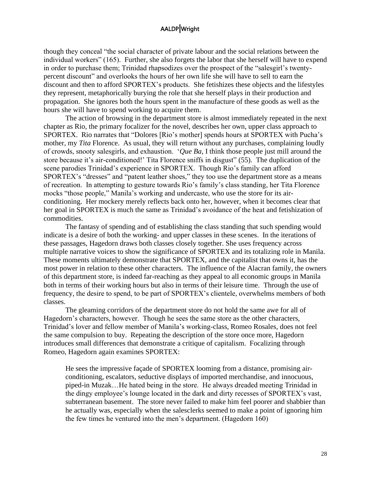though they conceal "the social character of private labour and the social relations between the individual workers" (165). Further, she also forgets the labor that she herself will have to expend in order to purchase them; Trinidad rhapsodizes over the prospect of the "salesgirl's twentypercent discount" and overlooks the hours of her own life she will have to sell to earn the discount and then to afford SPORTEX's products. She fetishizes these objects and the lifestyles they represent, metaphorically burying the role that she herself plays in their production and propagation. She ignores both the hours spent in the manufacture of these goods as well as the hours she will have to spend working to acquire them.

The action of browsing in the department store is almost immediately repeated in the next chapter as Rio, the primary focalizer for the novel, describes her own, upper class approach to SPORTEX. Rio narrates that "Dolores [Rio's mother] spends hours at SPORTEX with Pucha's mother, my *Tita* Florence. As usual, they will return without any purchases, complaining loudly of crowds, snooty salesgirls, and exhaustion. '*Que Ba*, I think those people just mill around the store because it's air-conditioned!' Tita Florence sniffs in disgust" (55). The duplication of the scene parodies Trinidad's experience in SPORTEX. Though Rio's family can afford SPORTEX's "dresses" and "patent leather shoes," they too use the department store as a means of recreation. In attempting to gesture towards Rio's family's class standing, her Tita Florence mocks "those people," Manila's working and undercaste, who use the store for its airconditioning. Her mockery merely reflects back onto her, however, when it becomes clear that her goal in SPORTEX is much the same as Trinidad's avoidance of the heat and fetishization of commodities.

The fantasy of spending and of establishing the class standing that such spending would indicate is a desire of both the working- and upper classes in these scenes. In the iterations of these passages, Hagedorn draws both classes closely together. She uses frequency across multiple narrative voices to show the significance of SPORTEX and its totalizing role in Manila. These moments ultimately demonstrate that SPORTEX, and the capitalist that owns it, has the most power in relation to these other characters. The influence of the Alacran family, the owners of this department store, is indeed far-reaching as they appeal to all economic groups in Manila both in terms of their working hours but also in terms of their leisure time. Through the use of frequency, the desire to spend, to be part of SPORTEX's clientele, overwhelms members of both classes.

The gleaming corridors of the department store do not hold the same awe for all of Hagedorn's characters, however. Though he sees the same store as the other characters, Trinidad's lover and fellow member of Manila's working-class, Romeo Rosales, does not feel the same compulsion to buy. Repeating the description of the store once more, Hagedorn introduces small differences that demonstrate a critique of capitalism. Focalizing through Romeo, Hagedorn again examines SPORTEX:

He sees the impressive façade of SPORTEX looming from a distance, promising airconditioning, escalators, seductive displays of imported merchandise, and innocuous, piped-in Muzak…He hated being in the store. He always dreaded meeting Trinidad in the dingy employee's lounge located in the dark and dirty recesses of SPORTEX's vast, subterranean basement. The store never failed to make him feel poorer and shabbier than he actually was, especially when the salesclerks seemed to make a point of ignoring him the few times he ventured into the men's department. (Hagedorn 160)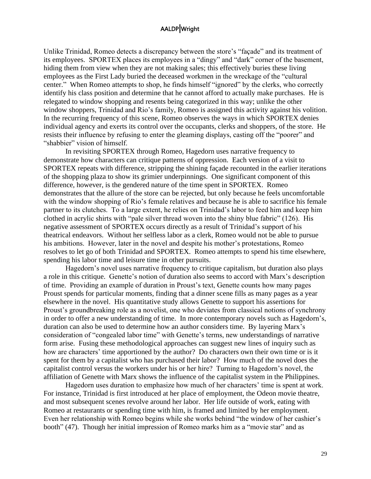Unlike Trinidad, Romeo detects a discrepancy between the store's "façade" and its treatment of its employees. SPORTEX places its employees in a "dingy" and "dark" corner of the basement, hiding them from view when they are not making sales; this effectively buries these living employees as the First Lady buried the deceased workmen in the wreckage of the "cultural center." When Romeo attempts to shop, he finds himself "ignored" by the clerks, who correctly identify his class position and determine that he cannot afford to actually make purchases. He is relegated to window shopping and resents being categorized in this way; unlike the other window shoppers, Trinidad and Rio's family, Romeo is assigned this activity against his volition. In the recurring frequency of this scene, Romeo observes the ways in which SPORTEX denies individual agency and exerts its control over the occupants, clerks and shoppers, of the store. He resists their influence by refusing to enter the gleaming displays, casting off the "poorer" and "shabbier" vision of himself.

In revisiting SPORTEX through Romeo, Hagedorn uses narrative frequency to demonstrate how characters can critique patterns of oppression. Each version of a visit to SPORTEX repeats with difference, stripping the shining façade recounted in the earlier iterations of the shopping plaza to show its grimier underpinnings. One significant component of this difference, however, is the gendered nature of the time spent in SPORTEX. Romeo demonstrates that the allure of the store can be rejected, but only because he feels uncomfortable with the window shopping of Rio's female relatives and because he is able to sacrifice his female partner to its clutches. To a large extent, he relies on Trinidad's labor to feed him and keep him clothed in acrylic shirts with "pale silver thread woven into the shiny blue fabric" (126). His negative assessment of SPORTEX occurs directly as a result of Trinidad's support of his theatrical endeavors. Without her selfless labor as a clerk, Romeo would not be able to pursue his ambitions. However, later in the novel and despite his mother's protestations, Romeo resolves to let go of both Trinidad and SPORTEX. Romeo attempts to spend his time elsewhere, spending his labor time and leisure time in other pursuits.

Hagedorn's novel uses narrative frequency to critique capitalism, but duration also plays a role in this critique. Genette's notion of duration also seems to accord with Marx's description of time. Providing an example of duration in Proust's text, Genette counts how many pages Proust spends for particular moments, finding that a dinner scene fills as many pages as a year elsewhere in the novel. His quantitative study allows Genette to support his assertions for Proust's groundbreaking role as a novelist, one who deviates from classical notions of synchrony in order to offer a new understanding of time. In more contemporary novels such as Hagedorn's, duration can also be used to determine how an author considers time. By layering Marx's consideration of "congealed labor time" with Genette's terms, new understandings of narrative form arise. Fusing these methodological approaches can suggest new lines of inquiry such as how are characters' time apportioned by the author? Do characters own their own time or is it spent for them by a capitalist who has purchased their labor? How much of the novel does the capitalist control versus the workers under his or her hire? Turning to Hagedorn's novel, the affiliation of Genette with Marx shows the influence of the capitalist system in the Philippines.

Hagedorn uses duration to emphasize how much of her characters' time is spent at work. For instance, Trinidad is first introduced at her place of employment, the Odeon movie theatre, and most subsequent scenes revolve around her labor. Her life outside of work, eating with Romeo at restaurants or spending time with him, is framed and limited by her employment. Even her relationship with Romeo begins while she works behind "the window of her cashier's booth" (47). Though her initial impression of Romeo marks him as a "movie star" and as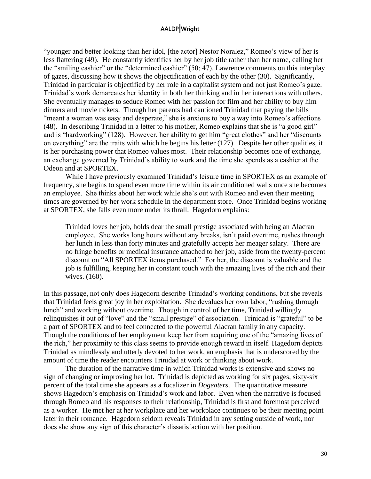"younger and better looking than her idol, [the actor] Nestor Noralez," Romeo's view of her is less flattering (49). He constantly identifies her by her job title rather than her name, calling her the "smiling cashier" or the "determined cashier" (50; 47). Lawrence comments on this interplay of gazes, discussing how it shows the objectification of each by the other (30). Significantly, Trinidad in particular is objectified by her role in a capitalist system and not just Romeo's gaze. Trinidad's work demarcates her identity in both her thinking and in her interactions with others. She eventually manages to seduce Romeo with her passion for film and her ability to buy him dinners and movie tickets. Though her parents had cautioned Trinidad that paying the bills "meant a woman was easy and desperate," she is anxious to buy a way into Romeo's affections (48). In describing Trinidad in a letter to his mother, Romeo explains that she is "a good girl" and is "hardworking" (128). However, her ability to get him "great clothes" and her "discounts on everything" are the traits with which he begins his letter (127). Despite her other qualities, it is her purchasing power that Romeo values most. Their relationship becomes one of exchange, an exchange governed by Trinidad's ability to work and the time she spends as a cashier at the Odeon and at SPORTEX.

While I have previously examined Trinidad's leisure time in SPORTEX as an example of frequency, she begins to spend even more time within its air conditioned walls once she becomes an employee. She thinks about her work while she's out with Romeo and even their meeting times are governed by her work schedule in the department store. Once Trinidad begins working at SPORTEX, she falls even more under its thrall. Hagedorn explains:

Trinidad loves her job, holds dear the small prestige associated with being an Alacran employee. She works long hours without any breaks, isn't paid overtime, rushes through her lunch in less than forty minutes and gratefully accepts her meager salary. There are no fringe benefits or medical insurance attached to her job, aside from the twenty-percent discount on "All SPORTEX items purchased." For her, the discount is valuable and the job is fulfilling, keeping her in constant touch with the amazing lives of the rich and their wives. (160).

In this passage, not only does Hagedorn describe Trinidad's working conditions, but she reveals that Trinidad feels great joy in her exploitation. She devalues her own labor, "rushing through lunch" and working without overtime. Though in control of her time, Trinidad willingly relinquishes it out of "love" and the "small prestige" of association. Trinidad is "grateful" to be a part of SPORTEX and to feel connected to the powerful Alacran family in any capacity. Though the conditions of her employment keep her from acquiring one of the "amazing lives of the rich," her proximity to this class seems to provide enough reward in itself. Hagedorn depicts Trinidad as mindlessly and utterly devoted to her work, an emphasis that is underscored by the amount of time the reader encounters Trinidad at work or thinking about work.

The duration of the narrative time in which Trinidad works is extensive and shows no sign of changing or improving her lot. Trinidad is depicted as working for six pages, sixty-six percent of the total time she appears as a focalizer in *Dogeaters*. The quantitative measure shows Hagedorn's emphasis on Trinidad's work and labor. Even when the narrative is focused through Romeo and his responses to their relationship, Trinidad is first and foremost perceived as a worker. He met her at her workplace and her workplace continues to be their meeting point later in their romance. Hagedorn seldom reveals Trinidad in any setting outside of work, nor does she show any sign of this character's dissatisfaction with her position.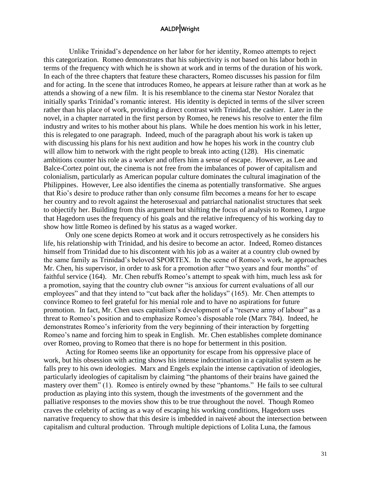Unlike Trinidad's dependence on her labor for her identity, Romeo attempts to reject this categorization. Romeo demonstrates that his subjectivity is not based on his labor both in terms of the frequency with which he is shown at work and in terms of the duration of his work. In each of the three chapters that feature these characters, Romeo discusses his passion for film and for acting. In the scene that introduces Romeo, he appears at leisure rather than at work as he attends a showing of a new film. It is his resemblance to the cinema star Nestor Noralez that initially sparks Trinidad's romantic interest. His identity is depicted in terms of the silver screen rather than his place of work, providing a direct contrast with Trinidad, the cashier. Later in the novel, in a chapter narrated in the first person by Romeo, he renews his resolve to enter the film industry and writes to his mother about his plans. While he does mention his work in his letter, this is relegated to one paragraph. Indeed, much of the paragraph about his work is taken up with discussing his plans for his next audition and how he hopes his work in the country club will allow him to network with the right people to break into acting (128). His cinematic ambitions counter his role as a worker and offers him a sense of escape. However, as Lee and Balce-Cortez point out, the cinema is not free from the imbalances of power of capitalism and colonialism, particularly as American popular culture dominates the cultural imagination of the Philippines. However, Lee also identifies the cinema as potentially transformative. She argues that Rio's desire to produce rather than only consume film becomes a means for her to escape her country and to revolt against the heterosexual and patriarchal nationalist structures that seek to objectify her. Building from this argument but shifting the focus of analysis to Romeo, I argue that Hagedorn uses the frequency of his goals and the relative infrequency of his working day to show how little Romeo is defined by his status as a waged worker.

Only one scene depicts Romeo at work and it occurs retrospectively as he considers his life, his relationship with Trinidad, and his desire to become an actor. Indeed, Romeo distances himself from Trinidad due to his discontent with his job as a waiter at a country club owned by the same family as Trinidad's beloved SPORTEX. In the scene of Romeo's work, he approaches Mr. Chen, his supervisor, in order to ask for a promotion after "two years and four months" of faithful service (164). Mr. Chen rebuffs Romeo's attempt to speak with him, much less ask for a promotion, saying that the country club owner "is anxious for current evaluations of all our employees" and that they intend to "cut back after the holidays" (165). Mr. Chen attempts to convince Romeo to feel grateful for his menial role and to have no aspirations for future promotion. In fact, Mr. Chen uses capitalism's development of a "reserve army of labour" as a threat to Romeo's position and to emphasize Romeo's disposable role (Marx 784). Indeed, he demonstrates Romeo's inferiority from the very beginning of their interaction by forgetting Romeo's name and forcing him to speak in English. Mr. Chen establishes complete dominance over Romeo, proving to Romeo that there is no hope for betterment in this position.

Acting for Romeo seems like an opportunity for escape from his oppressive place of work, but his obsession with acting shows his intense indoctrination in a capitalist system as he falls prey to his own ideologies. Marx and Engels explain the intense captivation of ideologies, particularly ideologies of capitalism by claiming "the phantoms of their brains have gained the mastery over them" (1). Romeo is entirely owned by these "phantoms." He fails to see cultural production as playing into this system, though the investments of the government and the palliative responses to the movies show this to be true throughout the novel. Though Romeo craves the celebrity of acting as a way of escaping his working conditions, Hagedorn uses narrative frequency to show that this desire is imbedded in naiveté about the intersection between capitalism and cultural production. Through multiple depictions of Lolita Luna, the famous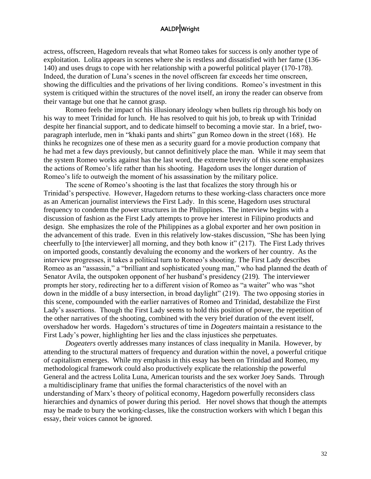actress, offscreen, Hagedorn reveals that what Romeo takes for success is only another type of exploitation. Lolita appears in scenes where she is restless and dissatisfied with her fame (136- 140) and uses drugs to cope with her relationship with a powerful political player (170-178). Indeed, the duration of Luna's scenes in the novel offscreen far exceeds her time onscreen, showing the difficulties and the privations of her living conditions. Romeo's investment in this system is critiqued within the structures of the novel itself, an irony the reader can observe from their vantage but one that he cannot grasp.

Romeo feels the impact of his illusionary ideology when bullets rip through his body on his way to meet Trinidad for lunch. He has resolved to quit his job, to break up with Trinidad despite her financial support, and to dedicate himself to becoming a movie star. In a brief, twoparagraph interlude, men in "khaki pants and shirts" gun Romeo down in the street (168). He thinks he recognizes one of these men as a security guard for a movie production company that he had met a few days previously, but cannot definitively place the man. While it may seem that the system Romeo works against has the last word, the extreme brevity of this scene emphasizes the actions of Romeo's life rather than his shooting. Hagedorn uses the longer duration of Romeo's life to outweigh the moment of his assassination by the military police.

The scene of Romeo's shooting is the last that focalizes the story through his or Trinidad's perspective. However, Hagedorn returns to these working-class characters once more as an American journalist interviews the First Lady. In this scene, Hagedorn uses structural frequency to condemn the power structures in the Philippines. The interview begins with a discussion of fashion as the First Lady attempts to prove her interest in Filipino products and design. She emphasizes the role of the Philippines as a global exporter and her own position in the advancement of this trade. Even in this relatively low-stakes discussion, "She has been lying cheerfully to [the interviewer] all morning, and they both know it" (217). The First Lady thrives on imported goods, constantly devaluing the economy and the workers of her country. As the interview progresses, it takes a political turn to Romeo's shooting. The First Lady describes Romeo as an "assassin," a "brilliant and sophisticated young man," who had planned the death of Senator Avila, the outspoken opponent of her husband's presidency (219). The interviewer prompts her story, redirecting her to a different vision of Romeo as "a waiter" who was "shot down in the middle of a busy intersection, in broad daylight" (219). The two opposing stories in this scene, compounded with the earlier narratives of Romeo and Trinidad, destabilize the First Lady's assertions. Though the First Lady seems to hold this position of power, the repetition of the other narratives of the shooting, combined with the very brief duration of the event itself, overshadow her words. Hagedorn's structures of time in *Dogeaters* maintain a resistance to the First Lady's power, highlighting her lies and the class injustices she perpetuates.

*Dogeaters* overtly addresses many instances of class inequality in Manila. However, by attending to the structural matters of frequency and duration within the novel, a powerful critique of capitalism emerges. While my emphasis in this essay has been on Trinidad and Romeo, my methodological framework could also productively explicate the relationship the powerful General and the actress Lolita Luna, American tourists and the sex worker Joey Sands. Through a multidisciplinary frame that unifies the formal characteristics of the novel with an understanding of Marx's theory of political economy, Hagedorn powerfully reconsiders class hierarchies and dynamics of power during this period. Her novel shows that though the attempts may be made to bury the working-classes, like the construction workers with which I began this essay, their voices cannot be ignored.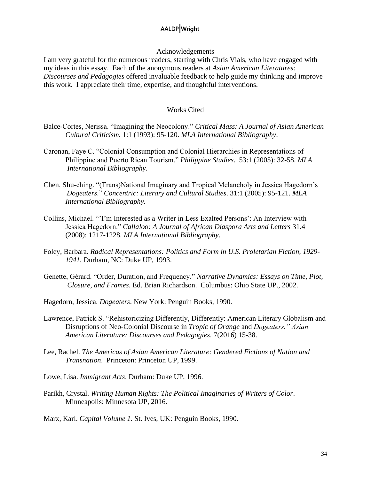#### Acknowledgements

I am very grateful for the numerous readers, starting with Chris Vials, who have engaged with my ideas in this essay. Each of the anonymous readers at *Asian American Literatures: Discourses and Pedagogies* offered invaluable feedback to help guide my thinking and improve this work. I appreciate their time, expertise, and thoughtful interventions.

#### Works Cited

- Balce-Cortes, Nerissa. "Imagining the Neocolony." *Critical Mass: A Journal of Asian American Cultural Criticism.* 1:1 (1993): 95-120. *MLA International Bibliography*.
- Caronan, Faye C. "Colonial Consumption and Colonial Hierarchies in Representations of Philippine and Puerto Rican Tourism." *Philippine Studies*. 53:1 (2005): 32-58. *MLA International Bibliography*.
- Chen, Shu-ching. "(Trans)National Imaginary and Tropical Melancholy in Jessica Hagedorn's *Dogeaters*." *Concentric: Literary and Cultural Studies*. 31:1 (2005): 95-121. *MLA International Bibliography.*
- Collins, Michael. "'I'm Interested as a Writer in Less Exalted Persons': An Interview with Jessica Hagedorn." *Callaloo: A Journal of African Diaspora Arts and Letters* 31.4 (2008): 1217-1228. *MLA International Bibliography*.
- Foley, Barbara. *Radical Representations: Politics and Form in U.S. Proletarian Fiction, 1929- 1941.* Durham, NC: Duke UP, 1993.
- Genette, Gérard. "Order, Duration, and Frequency." *Narrative Dynamics: Essays on Time, Plot, Closure, and Frames*. Ed. Brian Richardson. Columbus: Ohio State UP., 2002.
- Hagedorn, Jessica. *Dogeaters*. New York: Penguin Books, 1990.
- Lawrence, Patrick S. "Rehistoricizing Differently, Differently: American Literary Globalism and Disruptions of Neo-Colonial Discourse in *Tropic of Orange* and *Dogeaters." Asian American Literature: Discourses and Pedagogies*. 7(2016) 15-38.
- Lee, Rachel. *The Americas of Asian American Literature: Gendered Fictions of Nation and Transnation*. Princeton: Princeton UP, 1999.
- Lowe, Lisa. *Immigrant Acts*. Durham: Duke UP, 1996.
- Parikh, Crystal. *Writing Human Rights: The Political Imaginaries of Writers of Color*. Minneapolis: Minnesota UP, 2016.

Marx, Karl. *Capital Volume 1.* St. Ives, UK: Penguin Books, 1990.